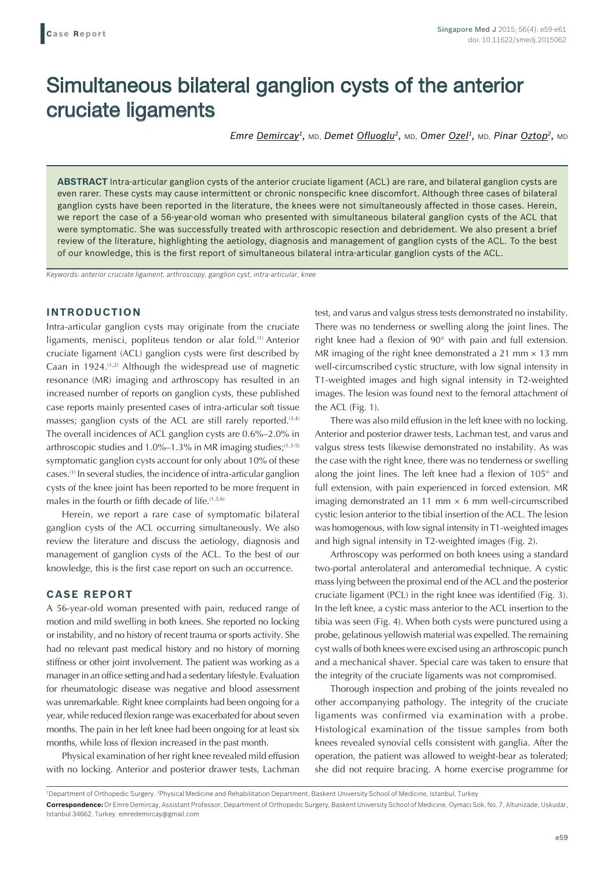# Simultaneous bilateral ganglion cysts of the anterior cruciate ligaments

*Emre Demircay1,* MD, *Demet Ofluoglu2,* MD, *Omer Ozel1,* MD, *Pinar Oztop2,* MD

**ABSTRACT** Intra-articular ganglion cysts of the anterior cruciate ligament (ACL) are rare, and bilateral ganglion cysts are even rarer. These cysts may cause intermittent or chronic nonspecific knee discomfort. Although three cases of bilateral ganglion cysts have been reported in the literature, the knees were not simultaneously affected in those cases. Herein, we report the case of a 56-year-old woman who presented with simultaneous bilateral ganglion cysts of the ACL that were symptomatic. She was successfully treated with arthroscopic resection and debridement. We also present a brief review of the literature, highlighting the aetiology, diagnosis and management of ganglion cysts of the ACL. To the best of our knowledge, this is the first report of simultaneous bilateral intra-articular ganglion cysts of the ACL.

*Keywords: anterior cruciate ligament, arthroscopy, ganglion cyst, intra-articular, knee*

## **INTRODUCTION**

Intra-articular ganglion cysts may originate from the cruciate ligaments, menisci, popliteus tendon or alar fold.<sup>(1)</sup> Anterior cruciate ligament (ACL) ganglion cysts were first described by Caan in 1924.(1,2) Although the widespread use of magnetic resonance (MR) imaging and arthroscopy has resulted in an increased number of reports on ganglion cysts, these published case reports mainly presented cases of intra-articular soft tissue masses; ganglion cysts of the ACL are still rarely reported. $(3,4)$ The overall incidences of ACL ganglion cysts are 0.6%–2.0% in arthroscopic studies and  $1.0\%$ –1.3% in MR imaging studies;<sup>(1,3-5)</sup> symptomatic ganglion cysts account for only about 10% of these cases.(1) In several studies, the incidence of intra-articular ganglion cysts of the knee joint has been reported to be more frequent in males in the fourth or fifth decade of life.<sup>(1,5,6)</sup>

Herein, we report a rare case of symptomatic bilateral ganglion cysts of the ACL occurring simultaneously. We also review the literature and discuss the aetiology, diagnosis and management of ganglion cysts of the ACL. To the best of our knowledge, this is the first case report on such an occurrence.

### **CASE REPORT**

A 56-year-old woman presented with pain, reduced range of motion and mild swelling in both knees. She reported no locking or instability, and no history of recent trauma or sports activity. She had no relevant past medical history and no history of morning stiffness or other joint involvement. The patient was working as a manager in an office setting and had a sedentary lifestyle. Evaluation for rheumatologic disease was negative and blood assessment was unremarkable. Right knee complaints had been ongoing for a year, while reduced flexion range was exacerbated for about seven months. The pain in her left knee had been ongoing for at least six months, while loss of flexion increased in the past month.

Physical examination of her right knee revealed mild effusion with no locking. Anterior and posterior drawer tests, Lachman test, and varus and valgus stress tests demonstrated no instability. There was no tenderness or swelling along the joint lines. The right knee had a flexion of 90° with pain and full extension. MR imaging of the right knee demonstrated a 21 mm  $\times$  13 mm well-circumscribed cystic structure, with low signal intensity in T1-weighted images and high signal intensity in T2-weighted images. The lesion was found next to the femoral attachment of the ACL (Fig. 1).

There was also mild effusion in the left knee with no locking. Anterior and posterior drawer tests, Lachman test, and varus and valgus stress tests likewise demonstrated no instability. As was the case with the right knee, there was no tenderness or swelling along the joint lines. The left knee had a flexion of 105° and full extension, with pain experienced in forced extension. MR imaging demonstrated an 11 mm  $\times$  6 mm well-circumscribed cystic lesion anterior to the tibial insertion of the ACL. The lesion was homogenous, with low signal intensity in T1-weighted images and high signal intensity in T2-weighted images (Fig. 2).

Arthroscopy was performed on both knees using a standard two-portal anterolateral and anteromedial technique. A cystic mass lying between the proximal end of the ACL and the posterior cruciate ligament (PCL) in the right knee was identified (Fig. 3). In the left knee, a cystic mass anterior to the ACL insertion to the tibia was seen (Fig. 4). When both cysts were punctured using a probe, gelatinous yellowish material was expelled. The remaining cyst walls of both knees were excised using an arthroscopic punch and a mechanical shaver. Special care was taken to ensure that the integrity of the cruciate ligaments was not compromised.

Thorough inspection and probing of the joints revealed no other accompanying pathology. The integrity of the cruciate ligaments was confirmed via examination with a probe. Histological examination of the tissue samples from both knees revealed synovial cells consistent with ganglia. After the operation, the patient was allowed to weight-bear as tolerated; she did not require bracing. A home exercise programme for

<sup>&</sup>lt;sup>1</sup>Department of Orthopedic Surgery, <sup>2</sup>Physical Medicine and Rehabilitation Department, Baskent University School of Medicine, Istanbul, Turkey

**Correspondence:** Dr Emre Demircay, Assistant Professor, Department of Orthopedic Surgery, Baskent University School of Medicine, Oymaci Sok, No. 7, Altunizade, Uskudar, Istanbul 34662, Turkey. emredemircay@gmail.com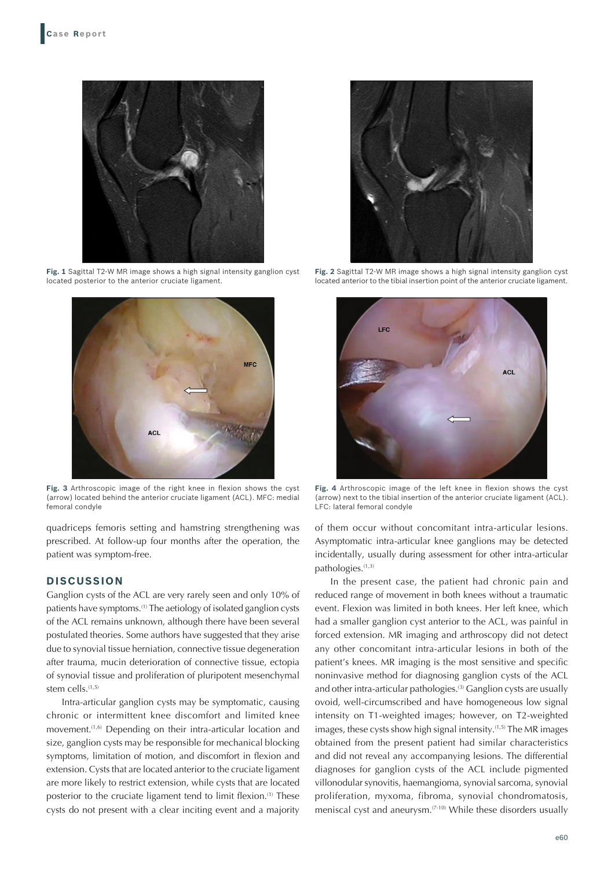

**Fig. 1** Sagittal T2-W MR image shows a high signal intensity ganglion cyst located posterior to the anterior cruciate ligament.



**Fig. 3** Arthroscopic image of the right knee in flexion shows the cyst (arrow) located behind the anterior cruciate ligament (ACL). MFC: medial femoral condyle

quadriceps femoris setting and hamstring strengthening was prescribed. At follow-up four months after the operation, the patient was symptom-free.

### **DISCUSSION**

Ganglion cysts of the ACL are very rarely seen and only 10% of patients have symptoms.(1) The aetiology of isolated ganglion cysts of the ACL remains unknown, although there have been several postulated theories. Some authors have suggested that they arise due to synovial tissue herniation, connective tissue degeneration after trauma, mucin deterioration of connective tissue, ectopia of synovial tissue and proliferation of pluripotent mesenchymal stem cells.<sup>(1,5)</sup>

Intra-articular ganglion cysts may be symptomatic, causing chronic or intermittent knee discomfort and limited knee movement.<sup>(1,6)</sup> Depending on their intra-articular location and size, ganglion cysts may be responsible for mechanical blocking symptoms, limitation of motion, and discomfort in flexion and extension. Cysts that are located anterior to the cruciate ligament are more likely to restrict extension, while cysts that are located posterior to the cruciate ligament tend to limit flexion.<sup>(1)</sup> These cysts do not present with a clear inciting event and a majority



**Fig. 2** Sagittal T2-W MR image shows a high signal intensity ganglion cyst located anterior to the tibial insertion point of the anterior cruciate ligament.



**Fig. 4** Arthroscopic image of the left knee in flexion shows the cyst (arrow) next to the tibial insertion of the anterior cruciate ligament (ACL). LFC: lateral femoral condyle

of them occur without concomitant intra-articular lesions. Asymptomatic intra-articular knee ganglions may be detected incidentally, usually during assessment for other intra-articular pathologies.(1,3)

In the present case, the patient had chronic pain and reduced range of movement in both knees without a traumatic event. Flexion was limited in both knees. Her left knee, which had a smaller ganglion cyst anterior to the ACL, was painful in forced extension. MR imaging and arthroscopy did not detect any other concomitant intra-articular lesions in both of the patient's knees. MR imaging is the most sensitive and specific noninvasive method for diagnosing ganglion cysts of the ACL and other intra-articular pathologies.<sup>(3)</sup> Ganglion cysts are usually ovoid, well-circumscribed and have homogeneous low signal intensity on T1-weighted images; however, on T2-weighted images, these cysts show high signal intensity.<sup>(1,5)</sup> The MR images obtained from the present patient had similar characteristics and did not reveal any accompanying lesions. The differential diagnoses for ganglion cysts of the ACL include pigmented villonodular synovitis, haemangioma, synovial sarcoma, synovial proliferation, myxoma, fibroma, synovial chondromatosis, meniscal cyst and aneurysm.(7-10) While these disorders usually